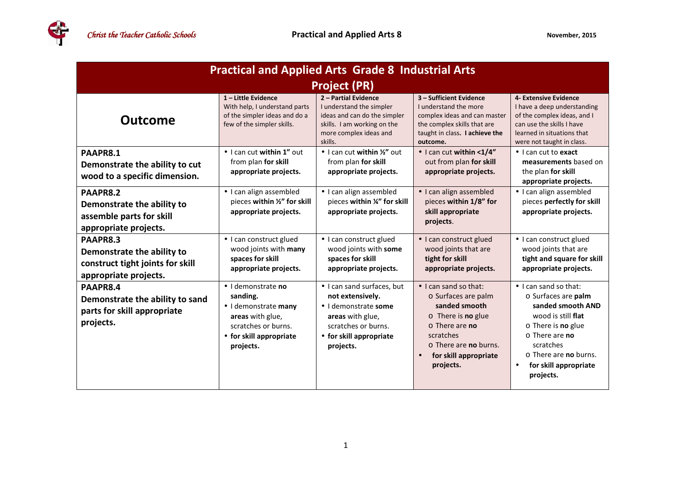| <b>Practical and Applied Arts Grade 8 Industrial Arts</b>                                           |                                                                                                                                           |                                                                                                                                                           |                                                                                                                                                                                                             |                                                                                                                                                                                                                                                     |  |  |  |
|-----------------------------------------------------------------------------------------------------|-------------------------------------------------------------------------------------------------------------------------------------------|-----------------------------------------------------------------------------------------------------------------------------------------------------------|-------------------------------------------------------------------------------------------------------------------------------------------------------------------------------------------------------------|-----------------------------------------------------------------------------------------------------------------------------------------------------------------------------------------------------------------------------------------------------|--|--|--|
| <b>Project (PR)</b>                                                                                 |                                                                                                                                           |                                                                                                                                                           |                                                                                                                                                                                                             |                                                                                                                                                                                                                                                     |  |  |  |
| <b>Outcome</b>                                                                                      | 1-Little Evidence<br>With help, I understand parts<br>of the simpler ideas and do a<br>few of the simpler skills.                         | 2 - Partial Evidence<br>I understand the simpler<br>ideas and can do the simpler<br>skills. I am working on the<br>more complex ideas and<br>skills.      | 3 - Sufficient Evidence<br>I understand the more<br>complex ideas and can master<br>the complex skills that are<br>taught in class. I achieve the<br>outcome.                                               | 4- Extensive Evidence<br>I have a deep understanding<br>of the complex ideas, and I<br>can use the skills I have<br>learned in situations that<br>were not taught in class.                                                                         |  |  |  |
| PAAPR8.1<br>Demonstrate the ability to cut<br>wood to a specific dimension.                         | • I can cut within 1" out<br>from plan for skill<br>appropriate projects.                                                                 | $\bullet$ I can cut within $\frac{1}{2}$ out<br>from plan for skill<br>appropriate projects.                                                              | • I can cut within <1/4"<br>out from plan for skill<br>appropriate projects.                                                                                                                                | $\bullet$ I can cut to <b>exact</b><br>measurements based on<br>the plan for skill<br>appropriate projects.                                                                                                                                         |  |  |  |
| PAAPR8.2<br>Demonstrate the ability to<br>assemble parts for skill<br>appropriate projects.         | • I can align assembled<br>pieces within 1/2" for skill<br>appropriate projects.                                                          | • I can align assembled<br>pieces within %" for skill<br>appropriate projects.                                                                            | • I can align assembled<br>pieces within 1/8" for<br>skill appropriate<br>projects.                                                                                                                         | · I can align assembled<br>pieces perfectly for skill<br>appropriate projects.                                                                                                                                                                      |  |  |  |
| PAAPR8.3<br>Demonstrate the ability to<br>construct tight joints for skill<br>appropriate projects. | • I can construct glued<br>wood joints with many<br>spaces for skill<br>appropriate projects.                                             | • I can construct glued<br>wood joints with some<br>spaces for skill<br>appropriate projects.                                                             | • I can construct glued<br>wood joints that are<br>tight for skill<br>appropriate projects.                                                                                                                 | • I can construct glued<br>wood joints that are<br>tight and square for skill<br>appropriate projects.                                                                                                                                              |  |  |  |
| PAAPR8.4<br>Demonstrate the ability to sand<br>parts for skill appropriate<br>projects.             | · I demonstrate no<br>sanding.<br>· I demonstrate many<br>areas with glue,<br>scratches or burns.<br>• for skill appropriate<br>projects. | • I can sand surfaces, but<br>not extensively.<br>· I demonstrate some<br>areas with glue,<br>scratches or burns.<br>• for skill appropriate<br>projects. | $\bullet$ I can sand so that:<br>o Surfaces are palm<br>sanded smooth<br>$\circ$ There is no glue<br>$\circ$ There are no<br>scratches<br>$\circ$ There are no burns.<br>for skill appropriate<br>projects. | $\bullet$ I can sand so that:<br>o Surfaces are palm<br>sanded smooth AND<br>wood is still flat<br>$\circ$ There is <b>no</b> glue<br>o There are no<br>scratches<br>$\circ$ There are no burns.<br>for skill appropriate<br>$\bullet$<br>projects. |  |  |  |